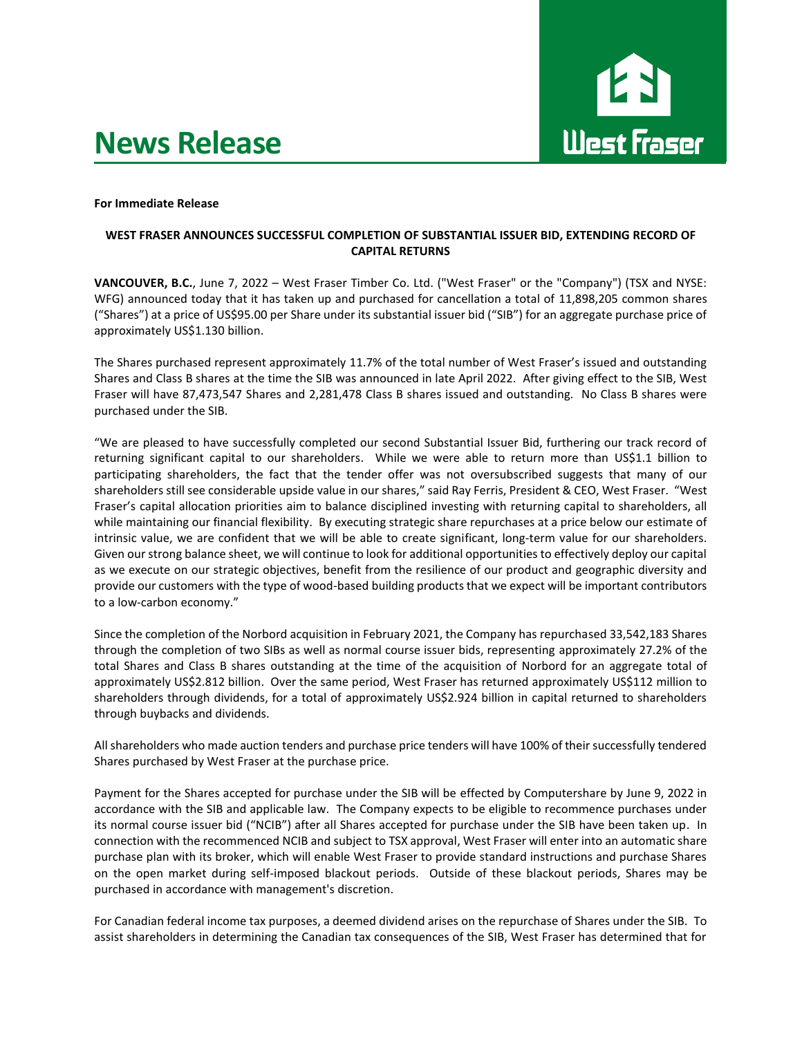# **News Release**



### **For Immediate Release**

## **WEST FRASER ANNOUNCES SUCCESSFUL COMPLETION OF SUBSTANTIAL ISSUER BID, EXTENDING RECORD OF CAPITAL RETURNS**

**VANCOUVER, B.C.**, June 7, 2022 – West Fraser Timber Co. Ltd. ("West Fraser" or the "Company") (TSX and NYSE: WFG) announced today that it has taken up and purchased for cancellation a total of 11,898,205 common shares ("Shares") at a price of US\$95.00 per Share under its substantial issuer bid ("SIB") for an aggregate purchase price of approximately US\$1.130 billion.

The Shares purchased represent approximately 11.7% of the total number of West Fraser's issued and outstanding Shares and Class B shares at the time the SIB was announced in late April 2022. After giving effect to the SIB, West Fraser will have 87,473,547 Shares and 2,281,478 Class B shares issued and outstanding. No Class B shares were purchased under the SIB.

"We are pleased to have successfully completed our second Substantial Issuer Bid, furthering our track record of returning significant capital to our shareholders. While we were able to return more than US\$1.1 billion to participating shareholders, the fact that the tender offer was not oversubscribed suggests that many of our shareholders still see considerable upside value in our shares," said Ray Ferris, President & CEO, West Fraser. "West Fraser's capital allocation priorities aim to balance disciplined investing with returning capital to shareholders, all while maintaining our financial flexibility. By executing strategic share repurchases at a price below our estimate of intrinsic value, we are confident that we will be able to create significant, long-term value for our shareholders. Given our strong balance sheet, we will continue to look for additional opportunities to effectively deploy our capital as we execute on our strategic objectives, benefit from the resilience of our product and geographic diversity and provide our customers with the type of wood-based building products that we expect will be important contributors to a low-carbon economy."

Since the completion of the Norbord acquisition in February 2021, the Company has repurchased 33,542,183 Shares through the completion of two SIBs as well as normal course issuer bids, representing approximately 27.2% of the total Shares and Class B shares outstanding at the time of the acquisition of Norbord for an aggregate total of approximately US\$2.812 billion. Over the same period, West Fraser has returned approximately US\$112 million to shareholders through dividends, for a total of approximately US\$2.924 billion in capital returned to shareholders through buybacks and dividends.

All shareholders who made auction tenders and purchase price tenders will have 100% of their successfully tendered Shares purchased by West Fraser at the purchase price.

Payment for the Shares accepted for purchase under the SIB will be effected by Computershare by June 9, 2022 in accordance with the SIB and applicable law. The Company expects to be eligible to recommence purchases under its normal course issuer bid ("NCIB") after all Shares accepted for purchase under the SIB have been taken up. In connection with the recommenced NCIB and subject to TSX approval, West Fraser will enter into an automatic share purchase plan with its broker, which will enable West Fraser to provide standard instructions and purchase Shares on the open market during self-imposed blackout periods. Outside of these blackout periods, Shares may be purchased in accordance with management's discretion.

For Canadian federal income tax purposes, a deemed dividend arises on the repurchase of Shares under the SIB. To assist shareholders in determining the Canadian tax consequences of the SIB, West Fraser has determined that for